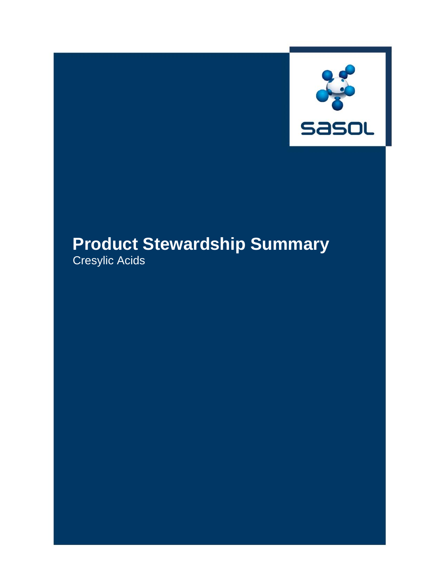

# **Product Stewardship Summary**

Cresylic Acids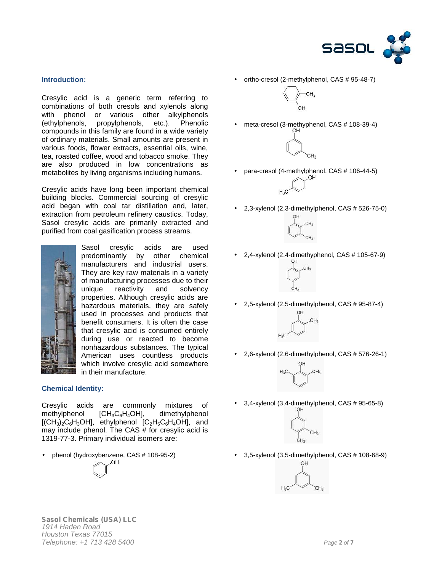

### **Introduction:**

Cresylic acid is a generic term referring to combinations of both cresols and xylenols along with phenol or various other alkylphenols (ethylphenols, propylphenols, etc.). Phenolic compounds in this family are found in a wide variety of ordinary materials. Small amounts are present in various foods, flower extracts, essential oils, wine, tea, roasted coffee, wood and tobacco smoke. They are also produced in low concentrations as metabolites by living organisms including humans.

Cresylic acids have long been important chemical building blocks. Commercial sourcing of cresylic acid began with coal tar distillation and, later, extraction from petroleum refinery caustics. Today, Sasol cresylic acids are primarily extracted and purified from coal gasification process streams.



Sasol cresylic acids are used predominantly by other chemical manufacturers and industrial users. They are key raw materials in a variety of manufacturing processes due to their unique reactivity and solvency properties. Although cresylic acids are hazardous materials, they are safely used in processes and products that benefit consumers. It is often the case that cresylic acid is consumed entirely during use or reacted to become nonhazardous substances. The typical American uses countless products which involve cresylic acid somewhere in their manufacture.

#### **Chemical Identity:**

Cresylic acids are commonly mixtures of methylphenol  $[CH_3C_6H_4OH]$ , dimethylphenol  $[(CH<sub>3</sub>)<sub>2</sub>C<sub>6</sub>H<sub>3</sub>OH]$ , ethylphenol  $[C<sub>2</sub>H<sub>5</sub>C<sub>6</sub>H<sub>4</sub>OH]$ , and may include phenol. The CAS # for cresylic acid is 1319-77-3. Primary individual isomers are:

phenol (hydroxybenzene, CAS # 108-95-2)

OH.

ortho-cresol (2-methylphenol, CAS # 95-48-7)



meta-cresol (3-methyphenol, CAS # 108-39-4)



para-cresol (4-methylphenol, CAS # 106-44-5)



2,3-xylenol (2,3-dimethylphenol, CAS # 526-75-0)



2,4-xylenol (2,4-dimethyphenol, CAS # 105-67-9)



2,5-xylenol (2,5-dimethylphenol, CAS # 95-87-4)



2,6-xylenol (2,6-dimethylphenol, CAS # 576-26-1)



3,4-xylenol (3,4-dimethylphenol, CAS # 95-65-8)



3,5-xylenol (3,5-dimethylphenol, CAS # 108-68-9)

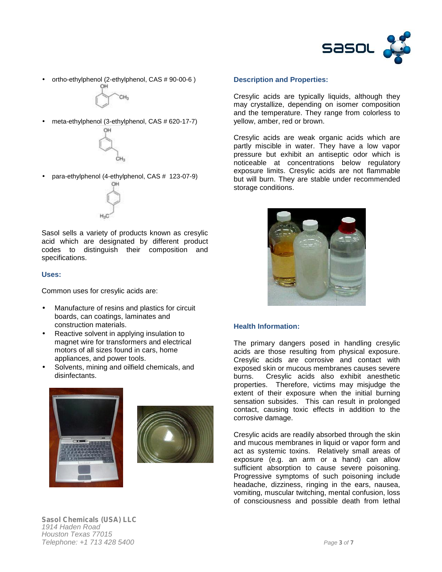

ortho-ethylphenol (2-ethylphenol, CAS # 90-00-6 )



meta-ethylphenol (3-ethylphenol, CAS # 620-17-7)



para-ethylphenol (4-ethylphenol, CAS # 123-07-9)



Sasol sells a variety of products known as cresylic acid which are designated by different product codes to distinguish their composition and specifications.

#### **Uses:**

Common uses for cresylic acids are:

- Manufacture of resins and plastics for circuit boards, can coatings, laminates and construction materials.
- Reactive solvent in applying insulation to magnet wire for transformers and electrical motors of all sizes found in cars, home appliances, and power tools.
- Solvents, mining and oilfield chemicals, and disinfectants.





#### **Description and Properties:**

Cresylic acids are typically liquids, although they may crystallize, depending on isomer composition and the temperature. They range from colorless to yellow, amber, red or brown.

Cresylic acids are weak organic acids which are partly miscible in water. They have a low vapor pressure but exhibit an antiseptic odor which is noticeable at concentrations below regulatory exposure limits. Cresylic acids are not flammable but will burn. They are stable under recommended storage conditions.



#### **Health Information:**

The primary dangers posed in handling cresylic acids are those resulting from physical exposure. Cresylic acids are corrosive and contact with exposed skin or mucous membranes causes severe burns. Cresylic acids also exhibit anesthetic properties. Therefore, victims may misjudge the extent of their exposure when the initial burning sensation subsides. This can result in prolonged contact, causing toxic effects in addition to the corrosive damage.

Cresylic acids are readily absorbed through the skin and mucous membranes in liquid or vapor form and act as systemic toxins. Relatively small areas of exposure (e.g. an arm or a hand) can allow sufficient absorption to cause severe poisoning. Progressive symptoms of such poisoning include headache, dizziness, ringing in the ears, nausea, vomiting, muscular twitching, mental confusion, loss of consciousness and possible death from lethal

*Sasol Chemicals (USA) LLC 1914 Haden Road Houston Texas 77015 Telephone: +1 713 428 5400 Page 3 of 7*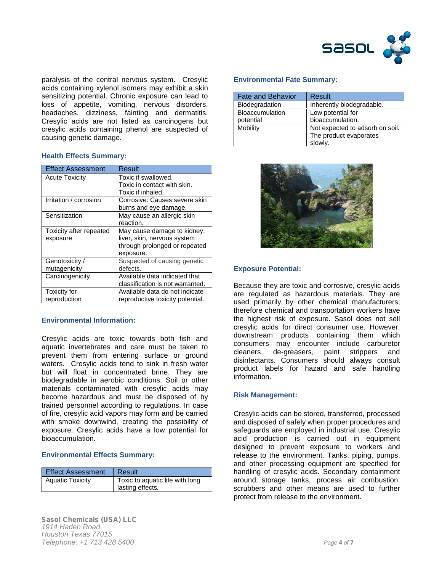

paralysis of the central nervous system. Cresylic acids containing xylenol isomers may exhibit a skin sensitizing potential. Chronic exposure can lead to loss of appetite, vomiting, nervous disorders, headaches, dizziness, fainting and dermatitis. Cresylic acids are not listed as carcinogens but cresylic acids containing phenol are suspected of causing genetic damage.

## **Health Effects Summary:**

| <b>Effect Assessment</b> | Result                           |
|--------------------------|----------------------------------|
| <b>Acute Toxicity</b>    | Toxic if swallowed.              |
|                          | Toxic in contact with skin.      |
|                          | Toxic if inhaled.                |
| Irritation / corrosion   | Corrosive: Causes severe skin    |
|                          | burns and eye damage.            |
| Sensitization            | May cause an allergic skin       |
|                          | reaction.                        |
| Toxicity after repeated  | May cause damage to kidney,      |
| exposure                 | liver, skin, nervous system      |
|                          | through prolonged or repeated    |
|                          | exposure.                        |
| Genotoxicity /           | Suspected of causing genetic     |
| mutagenicity             | defects.                         |
| Carcinogenicity          | Available data indicated that    |
|                          | classification is not warranted. |
| Toxicity for             | Available data do not indicate   |
| reproduction             | reproductive toxicity potential. |

## **Environmental Information:**

Cresylic acids are toxic towards both fish and aquatic invertebrates and care must be taken to prevent them from entering surface or ground waters. Cresylic acids tend to sink in fresh water but will float in concentrated brine. They are biodegradable in aerobic conditions. Soil or other materials contaminated with cresylic acids may become hazardous and must be disposed of by trained personnel according to regulations. In case of fire, cresylic acid vapors may form and be carried with smoke downwind, creating the possibility of exposure. Cresylic acids have a low potential for bioaccumulation.

## **Environmental Effects Summary:**

| <b>Effect Assessment</b> | Result                          |
|--------------------------|---------------------------------|
| <b>Aquatic Toxicity</b>  | Toxic to aquatic life with long |
|                          | lasting effects.                |

# **Environmental Fate Summary:**

| <b>Fate and Behavior</b> | Result                          |
|--------------------------|---------------------------------|
| Biodegradation           | Inherently biodegradable.       |
| <b>Bioaccumulation</b>   | Low potential for               |
| potential                | bioaccumulation.                |
| Mobility                 | Not expected to adsorb on soil. |
|                          | The product evaporates          |
|                          | slowly.                         |



## **Exposure Potential:**

Because they are toxic and corrosive, cresylic acids are regulated as hazardous materials. They are used primarily by other chemical manufacturers; therefore chemical and transportation workers have the highest risk of exposure. Sasol does not sell cresylic acids for direct consumer use. However, downstream products containing them which consumers may encounter include carburetor cleaners, de-greasers, paint strippers and disinfectants. Consumers should always consult product labels for hazard and safe handling information.

## **Risk Management:**

Cresylic acids can be stored, transferred, processed and disposed of safely when proper procedures and safeguards are employed in industrial use. Cresylic acid production is carried out in equipment designed to prevent exposure to workers and release to the environment. Tanks, piping, pumps, and other processing equipment are specified for handling of cresylic acids. Secondary containment around storage tanks, process air combustion, scrubbers and other means are used to further protect from release to the environment.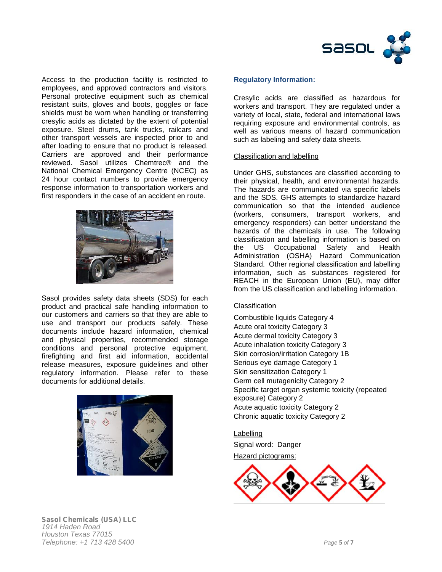

Access to the production facility is restricted to employees, and approved contractors and visitors. Personal protective equipment such as chemical resistant suits, gloves and boots, goggles or face shields must be worn when handling or transferring cresylic acids as dictated by the extent of potential exposure. Steel drums, tank trucks, railcars and other transport vessels are inspected prior to and after loading to ensure that no product is released. Carriers are approved and their performance reviewed. Sasol utilizes Chemtrec® and the National Chemical Emergency Centre (NCEC) as 24 hour contact numbers to provide emergency response information to transportation workers and first responders in the case of an accident en route.



Sasol provides safety data sheets (SDS) for each product and practical safe handling information to our customers and carriers so that they are able to use and transport our products safely. These documents include hazard information, chemical and physical properties, recommended storage conditions and personal protective equipment, firefighting and first aid information, accidental release measures, exposure guidelines and other regulatory information. Please refer to these documents for additional details.



### **Regulatory Information:**

Cresylic acids are classified as hazardous for workers and transport. They are regulated under a variety of local, state, federal and international laws requiring exposure and environmental controls, as well as various means of hazard communication such as labeling and safety data sheets.

#### Classification and labelling

Under GHS, substances are classified according to their physical, health, and environmental hazards. The hazards are communicated via specific labels and the SDS. GHS attempts to standardize hazard communication so that the intended audience (workers, consumers, transport workers, and emergency responders) can better understand the hazards of the chemicals in use. The following classification and labelling information is based on the US Occupational Safety and Health Administration (OSHA) Hazard Communication Standard. Other regional classification and labelling information, such as substances registered for REACH in the European Union (EU), may differ from the US classification and labelling information.

#### **Classification**

Combustible liquids Category 4 Acute oral toxicity Category 3 Acute dermal toxicity Category 3 Acute inhalation toxicity Category 3 Skin corrosion/irritation Category 1B Serious eye damage Category 1 Skin sensitization Category 1 Germ cell mutagenicity Category 2 Specific target organ systemic toxicity (repeated exposure) Category 2 Acute aquatic toxicity Category 2 Chronic aquatic toxicity Category 2

Labelling Signal word: Danger Hazard pictograms:



*Sasol Chemicals (USA) LLC 1914 Haden Road Houston Texas 77015 Telephone: +1 713 428 5400 Page 5 of 7*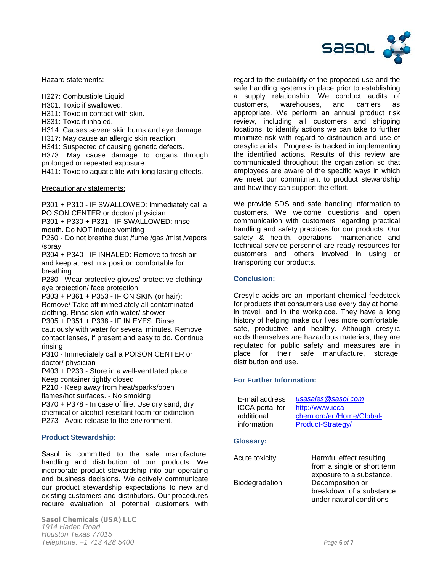

Hazard statements:

H227: Combustible Liquid

H301: Toxic if swallowed.

H311: Toxic in contact with skin.

H331: Toxic if inhaled.

H314: Causes severe skin burns and eye damage.

H317: May cause an allergic skin reaction.

H341: Suspected of causing genetic defects.

H373: May cause damage to organs through prolonged or repeated exposure.

H411: Toxic to aquatic life with long lasting effects.

Precautionary statements:

P301 + P310 - IF SWALLOWED: Immediately call a POISON CENTER or doctor/ physician

P301 + P330 + P331 - IF SWALLOWED: rinse

mouth. Do NOT induce vomiting

P260 - Do not breathe dust /fume /gas /mist /vapors /spray

P304 + P340 - IF INHALED: Remove to fresh air and keep at rest in a position comfortable for breathing

P280 - Wear protective gloves/ protective clothing/ eye protection/ face protection

P303 + P361 + P353 - IF ON SKIN (or hair): Remove/ Take off immediately all contaminated clothing. Rinse skin with water/ shower P305 + P351 + P338 - IF IN EYES: Rinse

cautiously with water for several minutes. Remove contact lenses, if present and easy to do. Continue rinsing

P310 - Immediately call a POISON CENTER or doctor/ physician

P403 + P233 - Store in a well-ventilated place. Keep container tightly closed

P210 - Keep away from heat/sparks/open

flames/hot surfaces. - No smoking

P370 + P378 - In case of fire: Use dry sand, dry chemical or alcohol-resistant foam for extinction P273 - Avoid release to the environment.

## **Product Stewardship:**

Sasol is committed to the safe manufacture, handling and distribution of our products. We incorporate product stewardship into our operating and business decisions. We actively communicate our product stewardship expectations to new and existing customers and distributors. Our procedures require evaluation of potential customers with

*Sasol Chemicals (USA) LLC 1914 Haden Road Houston Texas 77015 Telephone: +1 713 428 5400 Page 6 of 7*

regard to the suitability of the proposed use and the safe handling systems in place prior to establishing a supply relationship. We conduct audits of customers, warehouses, and carriers as appropriate. We perform an annual product risk review, including all customers and shipping locations, to identify actions we can take to further minimize risk with regard to distribution and use of cresylic acids. Progress is tracked in implementing the identified actions. Results of this review are communicated throughout the organization so that employees are aware of the specific ways in which we meet our commitment to product stewardship and how they can support the effort.

We provide SDS and safe handling information to customers. We welcome questions and open communication with customers regarding practical handling and safety practices for our products. Our safety & health, operations, maintenance and technical service personnel are ready resources for customers and others involved in using or transporting our products.

# **Conclusion:**

Cresylic acids are an important chemical feedstock for products that consumers use every day at home, in travel, and in the workplace. They have a long history of helping make our lives more comfortable, safe, productive and healthy. Although cresylic acids themselves are hazardous materials, they are regulated for public safety and measures are in place for their safe manufacture, storage, distribution and use.

## **For Further Information:**

| E-mail address  | usasales@sasol.com       |
|-----------------|--------------------------|
| ICCA portal for | http://www.icca-         |
| additional      | chem.org/en/Home/Global- |
| information     | Product-Strategy/        |

#### **Glossary:**

| Harmful effect resulting    |
|-----------------------------|
| from a single or short term |
| exposure to a substance.    |
| Decomposition or            |
| breakdown of a substance    |
| under natural conditions    |
|                             |